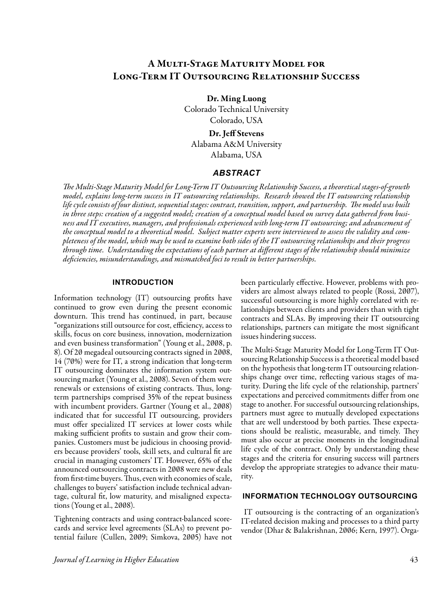# A Multi-Stage Maturity Model for Long-Term IT Outsourcing Relationship Success

Dr. Ming Luong

Colorado Technical University Colorado, USA

## Dr. Jeff Stevens

Alabama A&M University Alabama, USA

## *ABSTRACT*

*The Multi-Stage Maturity Model for Long-Term IT Outsourcing Relationship Success, a theoretical stages-of-growth model, explains long-term success in IT outsourcing relationships. Research showed the IT outsourcing relationship life cycle consists of four distinct, sequential stages: contract, transition, support, and partnership. The model was built in three steps: creation of a suggested model; creation of a conceptual model based on survey data gathered from business and IT executives, managers, and professionals experienced with long-term IT outsourcing; and advancement of the conceptual model to a theoretical model. Subject matter experts were interviewed to assess the validity and completeness of the model, which may be used to examine both sides of the IT outsourcing relationships and their progress through time. Understanding the expectations of each partner at different stages of the relationship should minimize deficiencies, misunderstandings, and mismatched foci to result in better partnerships.*

## **INTRODUCTION**

Information technology (IT) outsourcing profits have continued to grow even during the present economic downturn. This trend has continued, in part, because "organizations still outsource for cost, efficiency, access to skills, focus on core business, innovation, modernization and even business transformation" (Young et al., 2008, p. 8). Of 20 megadeal outsourcing contracts signed in 2008, 14 (70%) were for IT, a strong indication that long-term IT outsourcing dominates the information system outsourcing market (Young et al., 2008). Seven of them were renewals or extensions of existing contracts. Thus, longterm partnerships comprised 35% of the repeat business with incumbent providers. Gartner (Young et al., 2008) indicated that for successful IT outsourcing, providers must offer specialized IT services at lower costs while making sufficient profits to sustain and grow their companies. Customers must be judicious in choosing providers because providers' tools, skill sets, and cultural fit are crucial in managing customers' IT. However, 65% of the announced outsourcing contracts in 2008 were new deals from first-time buyers. Thus, even with economies of scale, challenges to buyers' satisfaction include technical advantage, cultural fit, low maturity, and misaligned expectations (Young et al., 2008).

Tightening contracts and using contract-balanced scorecards and service level agreements (SLAs) to prevent potential failure (Cullen, 2009; Simkova, 2005) have not been particularly effective. However, problems with providers are almost always related to people (Rossi, 2007), successful outsourcing is more highly correlated with relationships between clients and providers than with tight contracts and SLAs. By improving their IT outsourcing relationships, partners can mitigate the most significant issues hindering success.

The Multi-Stage Maturity Model for Long-Term IT Outsourcing Relationship Success is a theoretical model based on the hypothesis that long-term IT outsourcing relationships change over time, reflecting various stages of maturity. During the life cycle of the relationship, partners' expectations and perceived commitments differ from one stage to another. For successful outsourcing relationships, partners must agree to mutually developed expectations that are well understood by both parties. These expectations should be realistic, measurable, and timely. They must also occur at precise moments in the longitudinal life cycle of the contract. Only by understanding these stages and the criteria for ensuring success will partners develop the appropriate strategies to advance their maturity.

## **INFORMATION TECHNOLOGY OUTSOURCING**

 IT outsourcing is the contracting of an organization's IT-related decision making and processes to a third party vendor (Dhar & Balakrishnan, 2006; Kern, 1997). Orga-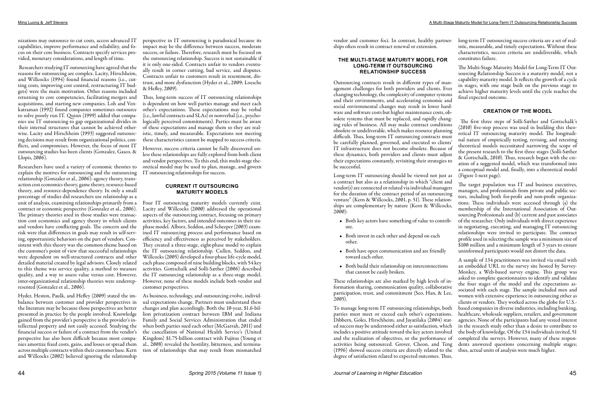nizations may outsource to cut costs, access advanced IT capabilities, improve performance and reliability, and focus on their core business. Contracts specify services provided, monetary considerations, and length of time.

 Researchers studying IT outsourcing have agreed that the reasons for outsourcing are complex. Lacity, Hirschheim, and Willcocks (1994) found financial reasons (i.e., cutting costs, improving cost control, restructuring IT budgets) were the main motivation. Other reasons included returning to core competencies, facilitating mergers and acquisitions, and starting new companies. Loh and Venkatraman (1992) found companies sometimes outsource to solve poorly run IT. Quinn (1999) added that companies use IT outsourcing to gap organizational divides in their internal structures that cannot be achieved otherwise. Lacity and Hirschheim (1993) suggested outsourcing decisions may result from organizational politics, conflicts, and compromises. However, the focus of most IT outsourcing studies has been clients (Gonzalez, Gasco, & Llopis, 2006).

Researchers have used a variety of economic theories to explain the motives for outsourcing and the outsourcing relationship (Gonzalez et al., 2006): agency theory, transaction cost economics theory, game theory, resource-based theory, and resource-dependence theory. In only a small percentage of studies did researchers use relationship as a unit of analysis, examining relationships primarily from a contract or economic perspective (Gonzalez et al., 2006). The primary theories used in those studies were transaction cost economics and agency theory in which clients and vendors have conflicting goals. The concern and the risk were that differences in goals may result in self-serving, opportunistic behaviors on the part of vendors. Consistent with this theory was the common theme based on the customer's point of view that successful relationships were dependent on well-structured contracts and other detailed material created by legal advisors. Closely related to this theme was service quality, a method to measure quality, and a way to assess value versus cost. However, inter-organizational relationship theories were underrepresented (Gonzalez et al., 2006).

Hyder, Heston, Paulk, and Hefley (2009) stated the imbalance between customer and provider perspectives in the literature may be because those perspectives are better presented in practice by the people involved. Knowledge gained from the provider's perspective is the provider's intellectual property and not easily accessed. Studying the financial success or failure of a contract from the vendor's perspective has also been difficult because most companies amortize fixed costs, gains, and losses or spread them across multiple contracts within their customer base. Kern and Willcocks (2002) believed ignoring the relationship

perspective in IT outsourcing is paradoxical because its impact may be the difference between success, moderate success, or failure. Therefore, research must be focused on the outsourcing relationship. Success is not sustainable if it is only one-sided. Contracts unfair to vendors eventually result in corner cutting, bad service, and disputes. Contracts unfair to customers result in resentment, distrust, and more dysfunction (Hyder et al., 2009; Loesche & Hefley, 2009).

Thus, long-term success of IT outsourcing relationships is dependent on how well parties manage and meet each other's expectations. These expectations may be verbal (i.e., lawful contracts and SLAs) or nonverbal (i.e., psychologically perceived commitments). Parties must be aware of these expectations and manage them so they are realistic, timely, and measurable. Expectations not meeting these characteristics cannot be mapped to success criteria.

However, success criteria cannot be fully discovered unless these relationships are fully explored from both client and vendor perspectives. To this end, this multi-stage theoretical model may be used to plan, manage, and govern IT outsourcing relationships for success.

## **CURRENT IT OUTSOURCING MATURITY MODELS**

Four IT outsourcing maturity models currently exist. Lacity and Willcocks (2000) addressed the operational aspects of the outsourcing contract, focusing on primary activities, key factors, and intended outcomes in their sixphase model. Alborz, Seddon, and Scheeper (2003) examined IT outsourcing process and performance based on efficiency and effectiveness as perceived by stakeholders. They created a three-stage, eight-phase model to explain the IT outsourcing relationship. Cullen, Seddon, and Willcocks (2005) developed a four-phase life-cycle model, each phase composed of nine building blocks, with 54 key activities. Gottschalk and Solli-Sæther (2006) described the IT outsourcing relationship as a three-stage model. However, none of these models include both vendor and customer perspectives.

As business, technology, and outsourcing evolve, individual expectations change. Partners must understand these changes and plan accordingly. Both the 10-year, \$1.6-billion privatization contract between IBM and Indiana Family and Social Services Administration that ended when both parties sued each other (McGarrah, 2011) and the cancellation of National Health Service's (United Kingdom) \$1.75-billion contract with Fujitsu (Young et al., 2008) revealed the hostility, bitterness, and termination of relationships that may result from mismatched vendor and customer foci. In contrast, healthy partnerships often result in contract renewal or extension.

### **THE MULTI-STAGE MATURITY MODEL FOR LONG-TERM IT OUTSOURCING RELATIONSHIP SUCCESS**

Outsourcing contracts result in different types of management challenges for both providers and clients. Ever changing technology, the complexity of computer systems and their environments, and accelerating economic and social environmental changes may result in lower hardware and software costs but higher maintenance costs, obsolete systems that must be replaced, and rapidly changing rules of business. All may make contract conditions obsolete or undeliverable, which makes resource planning difficult. Thus, long-term IT outsourcing contracts must be carefully planned, governed, and executed so clients' IT infrastructure does not become obsolete. Because of these dynamics, both providers and clients must adjust their expectations constantly, revisiting their strategies to be successful.

Long-term IT outsourcing should be viewed not just as a contract but also as a relationship in which "client and vendor(s) are connected or related via individual managers for the duration of the contract period of an outsourcing venture" (Kern & Willcocks, 2001, p. 51). These relationships are complementary by nature (Kern & Willcocks, 2000):

- Both key actors have something of value to contribute.
- Both invest in each other and depend on each other.
- Both have open communication and are friendly toward each other.
- that cannot be easily broken.

These relationships are also marked by high levels of information sharing, communication quality, collaborative participation, trust, and commitment (Seo, Han, & Lee, 2005). To manage long-term IT outsourcing relationships, both parties must meet or exceed each other's expectations. Dibbern, Goles, Hirschheim, and Jayatilaka (2004) stated success may be understood either as satisfaction, which includes a positive attitude toward the key actors involved and the realization of objectives, or the performance of activities being outsourced. Grover, Cheon, and Teng (1996) showed success criteria are directly related to the degree of satisfaction related to expected outcomes. Thus,

long-term IT outsourcing success criteria are a set of realistic, measurable, and timely expectations. Without these characteristics, success criteria are undeliverable, which constitutes failure.

The Multi-Stage Maturity Model for Long-Term IT Outsourcing Relationship Success is a maturity model, not a capability maturity model. It reflects the growth of a cycle in stages, with one stage built on the previous stage to achieve higher maturity levels until the cycle reaches the final expected outcome.

## **CREATION OF THE MODEL**

 The first three steps of Solli-Sæther and Gottschalk's (2010) five-step process was used in building this theoretical IT outsourcing maturity model. The longitudinal nature of empirically testing, revising, and retesting theoretical models necessitated narrowing the scope of the present research to the first three stages (Solli-Sæther & Gottschalk, 2010). Thus, research began with the creation of a suggested model, which was transformed into a conceptual model and, finally, into a theoretical model (Figure 1-next page).

• Both build their relationship on interconnections A sample of 134 practitioners was invited via email with an embedded URL to the survey site hosted by Survey-Monkey, a Web-based survey engine. This group was asked to complete questionnaires to identify and validate the four stages of the model and the expectations associated with each stage. The sample included men and women with extensive experience in outsourcing either as clients or vendors. They worked across the globe for U.S. based companies in diverse industries, including banking, healthcare, wholesale suppliers, retailers, and government agencies. None of the participants had any vested interest in the research study other than a desire to contribute to the body of knowledge. Of the 134 individuals invited, 51 completed the surveys. However, many of these respondents answered questions concerning multiple stages; thus, actual units of analysis were much higher.

The target population was IT and business executives, managers, and professionals from private and public sectors, including both for-profit and non-profit organizations. These individuals were accessed through (a) the membership of the International Association of Outsourcing Professionals and (b) current and past associates of the researcher. Only individuals with direct experience in negotiating, executing, and managing IT outsourcing relationships were invited to participate. The contract profile used in selecting the sample was a minimum size of \$100 million and a minimum length of 3 years to ensure uninformed participants would not distort the data.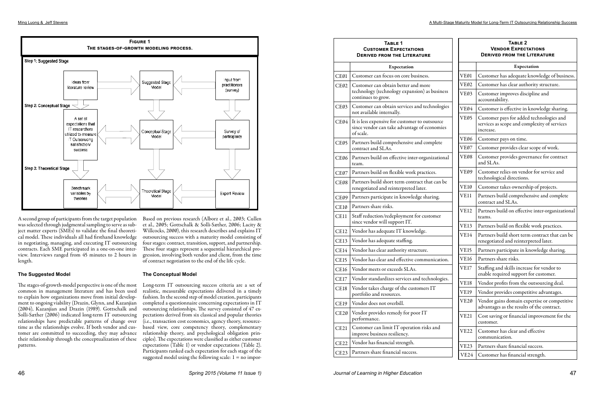A second group of participants from the target population was selected through judgmental sampling to serve as subject matter experts (SMEs) to validate the final theoretical model. These individuals all had firsthand knowledge in negotiating, managing, and executing IT outsourcing contracts. Each SME participated in a one-on-one interview. Interviews ranged from 45 minutes to 2 hours in length.

## **The Suggested Model**

Long-term IT outsourcing success criteria are a set of realistic, measurable expectations delivered in a timely fashion. In the second step of model creation, participants completed a questionnaire concerning expectations in IT outsourcing relationships. The survey consisted of 47 expectations derived from six classical and popular theories (i.e., transaction cost economics, agency theory, resourcebased view, core competency theory, complementary relationship theory, and psychological obligation principles). The expectations were classified as either customer expectations (Table 1) or vendor expectations (Table 2). Participants ranked each expectation for each stage of the suggested model using the following scale:  $1 = no$  impor-

The stages-of-growth-model perspective is one of the most common in management literature and has been used to explain how organizations move from initial development to ongoing viability (Drazin, Glynn, and Kazanjian (2004), Kazanjian and Drazin (1989). Gottschalk and Solli-Sæther (2006) indicated long-term IT outsourcing relationships have predictable patterns of change over time as the relationships evolve. If both vendor and customer are committed to succeeding, they may advance their relationship through the conceptualization of these patterns.

Based on previous research (Alborz et al., 2003; Cullen et al., 2005; Gottschalk & Solli-Sæther, 2006; Lacity & Willcocks, 2000), this research describes and explains IT outsourcing success with a maturity model consisting of four stages: contract, transition, support, and partnership. These four stages represent a sequential hierarchical progression, involving both vendor and client, from the time of contract negotiation to the end of the life cycle.

## **The Conceptual Model**



| TABLE 1<br><b>CUSTOMER EXPECTATIONS</b><br><b>DERIVED FROM THE LITERATURE</b> |                                                                                                             | TABLE <sub>2</sub><br><b>VENDOR EXPECTATIONS</b><br><b>DERIVED FROM THE LITERATURE</b> |                                                                                                       |
|-------------------------------------------------------------------------------|-------------------------------------------------------------------------------------------------------------|----------------------------------------------------------------------------------------|-------------------------------------------------------------------------------------------------------|
|                                                                               | Expectation                                                                                                 |                                                                                        | Expectation                                                                                           |
| CE01                                                                          | Customer can focus on core business.                                                                        | VE01                                                                                   | Customer has adequate knowledge of business.                                                          |
| CE02                                                                          | Customer can obtain better and more<br>technology (technology expansion) as business<br>continues to grow.  | VE02                                                                                   | Customer has clear authority structure.                                                               |
|                                                                               |                                                                                                             | VE03                                                                                   | Customer improves discipline and<br>accountability.                                                   |
| CE03                                                                          | Customer can obtain services and technologies<br>not available internally.                                  | VE04                                                                                   | Customer is effective in knowledge sharing.                                                           |
| CE04                                                                          | It is less expensive for customer to outsource<br>since vendor can take advantage of economies<br>of scale. | VE05                                                                                   | Customer pays for added technologies and<br>services as scope and complexity of services<br>increase. |
| CE05                                                                          | Partners build comprehensive and complete                                                                   | VE <sub>06</sub>                                                                       | Customer pays on time.                                                                                |
|                                                                               | contract and SLAs.                                                                                          | VE07                                                                                   | Customer provides clear scope of work.                                                                |
| CE06                                                                          | Partners build on effective inter-organizational<br>team.                                                   | VE08                                                                                   | Customer provides governance for contract<br>and SLAs.                                                |
| CE07                                                                          | Partners build on flexible work practices.                                                                  | VEØ9                                                                                   | Customer relies on vendor for service and<br>technological directions.                                |
| CE08                                                                          | Partners build short term contract that can be<br>renegotiated and reinterpreted later.                     | VE10                                                                                   | Customer takes ownership of projects.                                                                 |
| CE09                                                                          | Partners participate in knowledge sharing.                                                                  | VE11                                                                                   | Partners build comprehensive and complete<br>contract and SLAs.                                       |
| CE10                                                                          | Partners share risks.                                                                                       | <b>VE12</b>                                                                            | Partners build on effective inter-organizational                                                      |
| <b>CE11</b>                                                                   | Staff reduction/redeployment for customer<br>since vendor will support IT.                                  |                                                                                        | teams.                                                                                                |
| <b>CE12</b>                                                                   | Vendor has adequate IT knowledge.                                                                           | <b>VE13</b>                                                                            | Partners build on flexible work practices.                                                            |
| <b>CE13</b>                                                                   | Vendor has adequate staffing.                                                                               | VE14                                                                                   | Partners build short term contract that can be<br>renegotiated and reinterpreted later.               |
| CE14                                                                          | Vendor has clear authority structure.                                                                       | <b>VE15</b>                                                                            | Partners participate in knowledge sharing.                                                            |
| <b>CE15</b>                                                                   | Vendor has clear and effective communication.                                                               | <b>VE16</b>                                                                            | Partners share risks.                                                                                 |
| <b>CE16</b>                                                                   | Vendor meets or exceeds SLAs.                                                                               | VE17                                                                                   | Staffing and skills increase for vendor to<br>enable required support for customer.                   |
| <b>CE17</b>                                                                   | Vendor standardizes services and technologies.                                                              | <b>VE18</b>                                                                            | Vendor profits from the outsourcing deal.                                                             |
| <b>CE18</b>                                                                   | Vendor takes charge of the customers IT<br>portfolio and resources.                                         | <b>VE19</b>                                                                            | Vendor provides competitive advantages.                                                               |
| <b>CE19</b>                                                                   | Vendor does not overbill.                                                                                   | VE <sub>20</sub>                                                                       | Vendor gains domain expertise or competitive<br>advantages as the results of the contract.            |
| CE20                                                                          | Vendor provides remedy for poor IT<br>performance.                                                          | <b>VE21</b>                                                                            | Cost saving or financial improvement for the<br>customer.                                             |
| <b>CE21</b>                                                                   | Customer can limit IT operation risks and<br>improve business resiliency.                                   | <b>VE22</b>                                                                            | Customer has clear and effective<br>communication.                                                    |
| <b>CE22</b>                                                                   | Vendor has financial strength.                                                                              | <b>VE23</b>                                                                            | Partners share financial success.                                                                     |
| CE <sub>23</sub>                                                              | Partners share financial success.                                                                           | VE24                                                                                   | Customer has financial strength.                                                                      |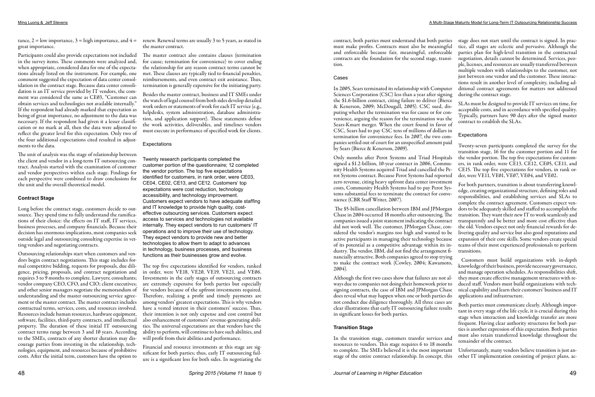### Ming Luong & Jeff Stevens **A Multi-Stage Maturity Model for Long-Term IT Outsourcing Relationship Success**

great importance.

Participants could also provide expectations not included in the survey items. These comments were analyzed and, when appropriate, considered data for one of the expectations already listed on the instrument. For example, one comment suggested the expectation of data center consolidation in the contract stage. Because data center consolidation is an IT service provided by IT vendors, the comment was considered the same as CE03, "Customer can obtain services and technologies not available internally." If the respondent had already marked that expectation as being of great importance, no adjustment to the data was necessary. If the respondent had given it a lesser classification or no mark at all, then the data were adjusted to reflect the greater level for this expectation. Only two of the four additional expectations cited resulted in adjustments to the data.

The unit of analysis was the stage of relationship between the client and vendor in a long-term IT outsourcing contract. Analysis started with the examination of customer and vendor perspectives within each stage. Findings for each perspective were combined to draw conclusions for the unit and the overall theoretical model.

## **Contract Stage**

tance, 2 = low importance, 3 = high importance, and 4 =  $^-$  renew. Renewal terms are usually 3 to 5 years, as stated in the master contract.

Long before the contract stage, customers decide to outsource. They spend time to fully understand the ramifications of their choice: the effects on IT staff, IT services, business processes, and company financials. Because their decision has enormous implications, most companies seek outside legal and outsourcing consulting expertise in vetting vendors and negotiating contracts.

Outsourcing relationships start when customers and vendors begin contract negotiations. This stage includes formal competitive bidding, requests for proposals, due diligence, pricing, proposals, and contract negotiation and requires 3 to 9 months to complete. Lawyers; consultants; vendor company CEO, CFO, and CIO; client executives; and other senior managers negotiate the memorandum of understanding and the master outsourcing service agreement or the master contract. The master contract includes contractual terms, services, costs, and resources involved. Resources include human resources, hardware equipment, software, facilities, third-party contracts, and intellectual property. The duration of these initial IT outsourcing contract terms range between 3 and 10 years. According to the SMEs, contracts of any shorter duration may discourage parties from investing in the relationship, technologies, equipment, and resources because of prohibitive costs. After the initial term, customers have the option to

The master contract also contains clauses (termination for cause; termination for convenience) to cover ending the relationship for any reason contract terms cannot be met. These clauses are typically tied to financial penalties, reimbursements, and even contract exit assistance. Thus, termination is generally expensive for the initiating party.

Besides the master contract, business and IT SMEs under the watch of legal counsel from both sides develop detailed work orders or statements of work for each IT service (e.g., helpdesks, system administration, database administration, and application support). These statements define the work activities, deliverables, and timelines vendors must execute in performance of specified work for clients.

## Expectations

Twenty research participants completed the customer portion of the questionnaire; 12 completed the vendor portion. The top five expectations identified for customers, in rank order, were CE03, CE04, CE02, CE13, and CE12. Customers' top expectations were cost reduction, technology accessibility, and technology improvement. Customers expect vendors to have adequate staffing and IT knowledge to provide high quality, costeffective outsourcing services. Customers expect access to services and technologies not available internally. They expect vendors to run customers' IT operations and to improve their use of technology. They expect vendors to provide new and better technologies to allow them to adapt to advances in technology, business processes, and business functions as their businesses grow and evolve.

The top five expectations identified for vendors, ranked in order, were VE18, VE20, VE19, VE21, and VE06. Investments in the early stages of outsourcing contracts are extremely expensive for both parties but especially for vendors because of the upfront investments required. Therefore, realizing a profit and timely payments are among vendors' greatest expectations. This is why vendors have a vested interest in their customers' success. Thus, their intention is not only expense and cost control but also enhancement of customers' revenue-generating abilities. The universal expectations are that vendors have the ability to perform, will continue to have such abilities, and will profit from their abilities and performance.

Financial and resource investments at this stage are significant for both parties; thus, early IT outsourcing failure is a significant loss for both sides. In negotiating the

### Cases

contract, both parties must understand that both parties stage does not start until the contract is signed. In pracmust make profits. Contracts must also be meaningful and enforceable because fair, meaningful, enforceable contracts are the foundation for the second stage, transition. tice, all stages are eclectic and pervasive. Although the parties plan for high-level transition in the contractual negotiation, details cannot be determined. Services, people, licenses, and resources are usually transferred between

In 2005, Sears terminated its relationship with Computer Sciences Corporation (CSC) less than a year after signing the \$1.6-billion contract, citing failure to deliver (Bierce & Kenerson, 2009; McDougall, 2005). CSC sued, disputing whether the termination was for cause or for convenience, arguing the reason for the termination was the Sears-Kmart merger. When the court found in favor of CSC, Sears had to pay CSC tens of millions of dollars in termination for convenience fees. In 2007, the two companies settled out of court for an unspecified amount paid during the contract stage. SLAs must be designed to provide IT services on time, for acceptable costs, and in accordance with specified quality. Typically, partners have 90 days after the signed master contract to establish the SLAs. **Expectations** Twenty-seven participants completed the survey for the

### **Transition Stage**

by Sears (Bierce & Kenerson, 2009). Only months after Perot Systems and Triad Hospitals signed a \$1.2-billion, 10-year contract in 2006, Community Health Systems acquired Triad and cancelled the Perot Systems contract. Because Perot Systems had reported zero revenue, citing heavy upfront data center investment transition stage, 16 for the customer portion and 11 for the vendor portion. The top five expectations for customers, in rank order, were CE13, CE12, CE05, CE11, and CE15. The top five expectations for vendors, in rank order, were VE11, VE01, VE07, VE04, and VE02. For both partners, transition is about transferring knowledge, creating organizational structure, defining roles and responsibilities, and establishing services and SLAs to

In the transition stage, customers transfer services and resources to vendors. This stage requires 6 to 18 months to complete. The SMEs believed it is the most important stage of the entire contract relationship. In concept, this

costs, Community Health Systems had to pay Perot Systems substantial fees to terminate the contract for convenience (CBR Staff Writer, 2007). The \$5-billion cancellation between IBM and JPMorgan Chase in 2004 occurred 18 months after outsourcing. The companies issued a joint statement indicating the contract did not work well. The customer, JPMorgan Chase, considered the vendor's margins too high and wanted to be active participants in managing their technology because of its potential as a competitive advantage within its industry. The vendor, IBM, did not find the arrangement financially attractive. Both companies agreed to stop trying to make the contract work (Cowley, 2004; Kawamoto, 2004). complete the contract agreement. Customers expect vendors to be adequately skilled and staffed to accomplish the transition. They want their new IT to work seamlessly and transparently and be better and more cost effective than the old. Vendors expect not only financial rewards for delivering quality and service but also good reputations and expansion of their core skills. Some vendors create special teams of their most experienced professionals to perform transitions. Customers must build organizations with in-depth knowledge of their business, provide necessary governance,

multiple vendors with relationships to the customer, not just between one vendor and the customer. These interactions result in another level of complexity, including additional contract agreements for matters not addressed

Although the first two cases show that failures are not always due to companies not doing their homework prior to signing contracts, the case of IBM and JPMorgan Chase does reveal what may happen when one or both parties do not conduct due diligence thoroughly. All three cases are clear illustrations that early IT outsourcing failure results in significant losses for both parties. and manage operation schedules. As responsibilities shift, they must create effective management structures with reduced staff. Vendors must build organizations with technical capability and learn their customers' business and IT applications and infrastructure. Both parties must communicate clearly. Although important in every stage of the life cycle, it is crucial during this

- stage when interaction and knowledge transfer are more frequent. Having clear authority structures for both parties is another expression of this expectation. Both parties must also retain transferred knowledge throughout the remainder of the contract.
- Unfortunately, many vendors believe transition is just another IT implementation consisting of project plans, ac-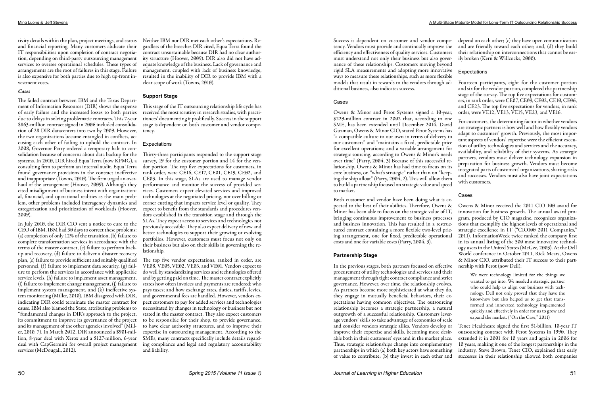tivity details within the plan, project meetings, and status Neither IBM nor DIR met each other's expectations. Reand financial reporting. Many customers abdicate their IT responsibilities upon completion of contract negotiation, depending on third-party outsourcing management services to oversee operational schedules. These types of arrangements are the root of failures in this stage. Failure is also expensive for both parties due to high up-front investment costs.

## *Cases*

In July 2010, the DIR CIO sent a notice to cure to the CEO of IBM. IBM had 30 days to correct these problems: (a) completion of only 12% of the transition, (b) failure to complete transformation services in accordance with the terms of the master contract, (c) failure to perform backup and recovery, (d) failure to deliver a disaster recovery plan, (e) failure to provide sufficient and suitably qualified personnel, (f) failure to implement data security, (g) failure to perform the services in accordance with applicable service levels, (h) failure to implement asset management, (i) failure to implement change management, (j) failure to implement system management, and (k) ineffective system monitoring (Miller, 2010). IBM disagreed with DIR, indicating DIR could terminate the master contract for cause. IBM also blamed the State, attributing problems to "fundamental changes in DIR's approach to the project, its commitment to improve its governance of the project and its management of the other agencies involved" (Miller, 2010, 7). In March 2012, DIR announced a \$901-million, 8-year deal with Xerox and a \$127-million, 6-year deal with CapGermini for overall project management services (McDougall, 2012).

The failed contract between IBM and the Texas Department of Information Resources (DIR) shows the expense of early failure and the increased losses to both parties due to delays in solving problematic contracts. This 7-year \$863-million contract signed in 2006 included consolidation of 28 DIR datacenters into two by 2009. However, the two organizations became entangled in conflicts, accusing each other of failing to uphold the contract. In 2008, Governor Perry ordered a temporary halt to consolidation because of concerns about data backup for the Thirty-three participants responded to the support stage systems. In 2010, DIR hired Equa Terra (now KPMG), a consulting firm to perform an internal audit. Equa Terra found governance provisions in the contract ineffective and inappropriate (Towns, 2010). The firm urged an overhaul of the arrangement (Hoover, 2009). Although they cited misalignment of business intent with organizational, financial, and operational realities as the main problem, other problems included interagency dynamics and categorization and prioritization of workloads (Hoover, 2009).

gardless of the breeches DIR cited, Equa Terra found the contract unsustainable because DIR had no clear authority structure (Hoover, 2009). DIR also did not have adequate knowledge of the business. Lack of governance and management, coupled with lack of business knowledge, resulted in the inability of DIR to provide IBM with a clear scope of work (Towns, 2010).

## **Support Stage**

This stage of the IT outsourcing relationship life cycle has received the most scrutiny in research studies, with practitioners' documenting it prolifically. Success in the support stage is dependent on both customer and vendor competency.

## Expectations

survey, 19 for the customer portion and 14 for the vendor portion. The top five expectations for customers, in rank order, were CE16, CE17, CE01, CE19, CE02, and CE03. In this stage, SLAs are used to manage vendor performance and monitor the success of provided services. Customers expect elevated services and improved technologies at the negotiated pricing, not over billing or corner cutting that impacts service level or quality. They expect to benefit from the standards and procedures vendors established in the transition stage and through the SLAs. They expect access to services and technologies not previously accessible. They also expect delivery of new and better technologies to support their growing or evolving portfolios. However, customers must focus not only on their business but also on their skills in governing the relationship.

The top five vendor expectations, ranked in order, are VE08, VE05, VE02, VE03, and VE01. Vendors expect to do well by standardizing services and technologies offered and by getting paid on time. The master contract explicitly states how often invoices and payments are rendered; who pays taxes; and how exchange rates, duties, tariffs, levies, and governmental fees are handled. However, vendors expect customers to pay for added services and technologies necessitated by changes in technology or business but not stated in the master contract. They also expect customers to be responsible for their shop, to provide governance, to have clear authority structures, and to improve their expertise in outsourcing management. According to the SMEs, many contracts specifically include details regarding compliance and legal and regulatory accountability and liability.

tency. Vendors must provide and continually improve the efficiency and effectiveness of quality services. Customers must understand not only their business but also governance of these relationships. Customers moving beyond rigid SLA measurements and adopting more innovative Expectations ways to measure these relationships, such as more flexible models that result in rewards to the vendors through additional business, also indicates success.

## Cases

- Success is dependent on customer and vendor compe-depend on each other; (c) they have open communication and are friendly toward each other; and, (d) they build their relationship on interconnections that cannot be easily broken (Kern & Willcocks, 2000).
	-
	-
	- Fourteen participants, eight for the customer portion and six for the vendor portion, completed the partnership stage of the survey. The top five expectations for customers, in rank order, were CE07, CE09, CE02, CE10, CE06, and CE23. The top five expectations for vendors, in rank

Owens & Minor and Perot Systems signed a 10-year, \$229-million contract in 2002 that, according to one SME, has been extended until December 2014. David Guzman, Owens & Minor CIO, stated Perot Systems has "a compatible culture to our own in terms of delivery to our customers" and "maintains a fixed, predictable price for excellent operations; and a variable arrangement for strategic sourcing, according to Owens & Minor's needs over time" (Parry, 2004, 3) Because of this successful relationship, Owens & Minor has had time to focus on its core business, on "what's strategic" rather than on "keeping the ship afloat" (Parry, 2004, 2). This will allow them to build a partnership focused on strategic value and speed to market. order, were VE12, VE13, VE15, VE23, and VE16. For customers, the determining factor in whether vendors are strategic partners is how well and how flexibly vendors adapt to customers' growth. Previously, the most important aspects of vendors' expertise were the efficient execution of utility technologies and services and the accuracy, availability, and reliability of their systems. As strategic partners, vendors must deliver technology expansion in preparation for business growth. Vendors must become integrated parts of customers' organizations, sharing risks and successes. Vendors must also have joint expectations with customers.

Both customer and vendor have been doing what is expected to the best of their abilities. Therefore, Owens & Minor has been able to focus on the strategic value of IT, bringing continuous improvement to business processes and business innovation. This has resulted in a restructured contract containing a more flexible two-level pricing arrangement, one for fixed, predictable operational costs and one for variable costs (Parry, 2004, 3). **Partnership Stage** Owens & Minor received the 2011 CIO 100 award for innovation for business growth. The annual award program, produced by CIO magazine, recognizes organizations that exemplify the highest levels of operational and strategic excellence in IT ("CIO100 2011 Companies," 2011). InformationWeek twice ranked the company first in its annual listing of the 500 most innovative technology users in the United States (McGee, 2003). At the Dell World conference in October 2011, Rick Mears, Owens & Minor CIO, attributed their IT success to their partnership with Perot (now Dell):

In the previous stages, both partners focused on effective procurement of utility technologies and services and their management through tight contract compliance and strict governance. However, over time, the relationship evolves. As partners become more sophisticated at what they do, they engage in mutually beneficial behaviors, their expectations having common objectives. The outsourcing relationship becomes a strategic partnership, a natural outgrowth of a successful relationship. Customers leverage vendors' skills to take advantage of economies of scale and consider vendors strategic allies. Vendors develop or improve their expertise and skills, becoming more desirable both in their customers' eyes and in the market place. Thus, strategic relationships change into complementary partnerships in which (a) both key actors have something of value to contribute; (b) they invest in each other and We were technology limited for the things we wanted to get into. We needed a strategic partner who could help us align our business with technology. Dell not only proved that they have the know-how but also helped us to get that transformed and innovated technology implemented quickly and effectively in order for us to grow and expand the market. ("On the Case," 2011) Tenet Healthcare signed the first \$1-billion, 10-year IT outsourcing contract with Perot Systems in 1990. They extended it in 2001 for 10 years and again in 2006 for 10 years, making it one of the longest partnerships in the industry. Steve Brown, Tenet CIO, explained that early successes in their relationship allowed both companies

## Cases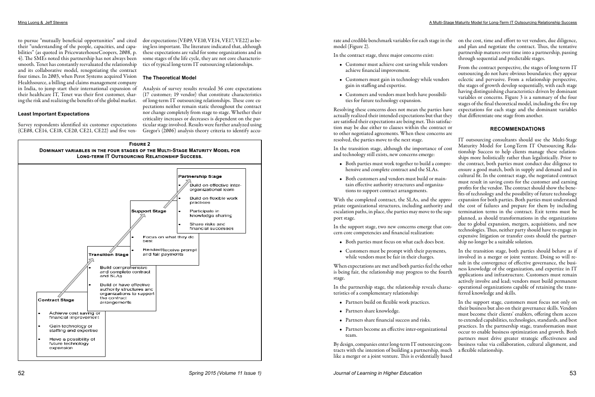to pursue "mutually beneficial opportunities" and cited their "understanding of the people, capacities, and capabilities" (as quoted in PricewaterhouseCoopers, 2008, p. 4). The SMEs noted this partnership has not always been smooth. Tenet has constantly reevaluated the relationship and its collaborative model, renegotiating the contract four times. In 2003, when Perot Systems acquired Vision Healthsource, a billing and claims management company in India, to jump start their international expansion of their healthcare IT, Tenet was their first customer, sharing the risk and realizing the benefits of the global market.

## **Least Important Expectations**

Survey respondents identified six customer expectations (CE08, CE14, CE18, CE20, CE21, CE22) and five ven-

dor expectations (VE09, VE10, VE14, VE17, VE22) as being less important. The literature indicated that, although these expectations are valid for some organizations and in some stages of the life cycle, they are not core characteristics of typical long-term IT outsourcing relationships.

## **The Theoretical Model**

Analysis of survey results revealed 36 core expectations (17 customer; 19 vendor) that constitute characteristics of long-term IT outsourcing relationships. These core expectations neither remain static throughout the contract nor change completely from stage to stage. Whether their criticality increases or decreases is dependent on the particular stage involved. Results were further analyzed using Gregor's (2006) analysis theory criteria to identify accumodel (Figure 2).

In the contract stage, three major concerns exist:

- Customer must achieve cost saving while vendors achieve financial improvement.
- Customers must gain in technology while vendors gain in staffing and expertise.
- Customers and vendors must both have possibilities for future technology expansion.

Resolving these concerns does not mean the parties have actually realized their intended expectations but that they are satisfied their expectations are being met. This satisfaction may be due either to clauses within the contract or to other negotiated agreements. When these concerns are

resolved, the parties move to the next stage. In the transition stage, although the importance of cost and technology still exists, new concerns emerge: With the completed contract, the SLAs, and the appropriate organizational structures, including authority and escalation paths, in place, the parties may move to the support stage. In the support stage, two new concerns emerge that concern core competencies and financial realization:

rate and credible benchmark variables for each stage in the on the cost, time and effort to vet vendors, due diligence, and plan and negotiate the contract. Thus, the tentative partnership matures over time into a partnership, passing through sequential and predictable stages.

- 
- while vendors must be fair in their charges.

- Partners build on flexible work practices.
- Partners share knowledge.
- Partners share financial success and risks.
- Partners become an effective inter-organizational team.

By design, companies enter long-term IT outsourcing contracts with the intention of building a partnership, much like a merger or a joint venture. This is evidentially based

• Both parties must work together to build a comprehensive and complete contract and the SLAs. • Both customers and vendors must build or maintain effective authority structures and organizations to support contract arrangements. • Both parties must focus on what each does best. IT outsourcing consultants should use the Multi-Stage Maturity Model for Long-Term IT Outsourcing Relationship Success to help clients manage these relationships more holistically rather than legalistically. Prior to the contract, both parties must conduct due diligence to ensure a good match, both in supply and demand and in cultural fit. In the contract stage, the negotiated contract must result in saving costs for the customer and earning profits for the vendor. The contract should show the benefits of technology and the possibility of future technology expansion for both parties. Both parties must understand the cost of failures and prepare for them by including termination terms in the contract. Exit terms must be planned, as should transformations in the organizations due to global expansion, mergers, acquisitions, and new technologies. Thus, neither party should have to engage in expensive litigation or transfer costs should the partnership no longer be a suitable solution.

- 
- 

From the contract perspective, the stages of long-term IT outsourcing do not have obvious boundaries; they appear eclectic and pervasive. From a relationship perspective, the stages of growth develop sequentially, with each stage having distinguishing characteristics driven by dominant variables or concerns. Figure 3 is a summary of the four stages of the final theoretical model, including the five top expectations for each stage and the dominant variables that differentiate one stage from another.

## **RECOMMENDATIONS**

• Customers must be prompt with their payments, When expectations are met and both parties feel the other is being fair, the relationship may progress to the fourth stage. In the partnership stage, the relationship reveals characteristics of a complementary relationship: In the transition stage, both parties should behave as if involved in a merger or joint venture. Doing so will result in the convergence of effective governance, the business knowledge of the organization, and expertize in IT applications and infrastructure. Customers must remain actively involve and lead; vendors must build permanent operational organizations capable of retaining the transferred knowledge and skills.

In the support stage, customers must focus not only on their business but also on their governance skills. Vendors must become their clients' enablers, offering them access to extended capabilities, technologies, standards, and best practices. In the partnership stage, transformation must occur to enable business optimization and growth. Both partners must drive greater strategic effectiveness and business value via collaboration, cultural alignment, and a flexible relationship.

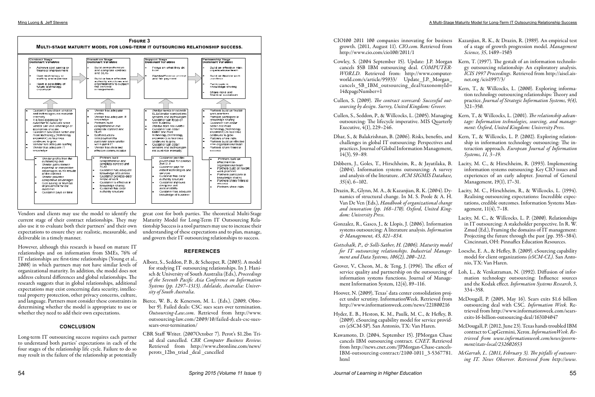Vendors and clients may use the model to identify the current stage of their contract relationships. They may also use it to evaluate both their partners' and their own expectations to ensure they are realistic, measurable, and deliverable in a timely manner.

However, although this research is based on mature IT relationships and on information from SMEs, 76% of IT relationships are first-time relationships (Young et al., 2008) in which partners may not have similar levels of organizational maturity. In addition, the model does not address cultural differences and global relationships. The research suggests that in global relationships, additional expectations may exist concerning data security, intellectual property protection, other privacy concerns, culture, and language. Partners must consider these constraints in determining whether the model is appropriate to use or whether they need to add their own expectations.

## **CONCLUSION**

Long-term IT outsourcing success requires each partner to understand both parties' expectations in each of the four stages of the relationship life cycle. Failure to do so may result in the failure of the relationship at potentially

great cost for both parties. The theoretical Multi-Stage Maturity Model for Long-Term IT Outsourcing Relationship Success is a tool partners may use to increase their understanding of these expectations and to plan, manage, and govern their IT outsourcing relationships to success.

## **REFERENCES**

- Alborz, S., Seddon, P. B., & Scheeper, R. (2003). A model for studying IT outsourcing relationships. In J. Hanisch & University of South Australia (Eds.), *Proceedings of the Seventh Pacific Asia Conference on Information Systems (pp. 1297–1313). Adelaide, Australia: University of South Australia.*
- Bierce, W. B., & Kenerson, M. L. (Eds.). (2009, Obtober 9). Failed deals: CSC sues sears over termination. *Outsourcing-Law.com*. Retrieved from http://www. outsourcing-law.com/2009/10/failed-deals-csc-suessears-over-termination/
- CBR Staff Writer. (2007October 7). Perot's \$1.2bn Triad deal cancelled*. CBR Computer Business Review*. Retrieved from http://www.cbronline.com/news/ perots\_12bn\_triad \_deal \_cancelled
- CIO100 2011 100 companies innovating for business Kazanjian, R. K., & Drazin, R. (1989). An empirical test growth. (2011, August 11). *CIO.com*. Retrieved from http://www.cio.com/cio100/2011/1 of a stage of growth progression model. *Management Science, 35*, 1489–1503
- Cowley, S. (2004 September 15). Update: J.P. Morgan cancels \$5B IBM outsourcing deal. *COMPUTER-WORLD*. Retrieved from: http://www.computerworld.com/s/article/95933/ Update\_ J.P.\_Morgan\_ cancels\_5B\_IBM\_outsourcing \_deal?taxonomyId= 14&pageNumber=1 Kern, T. (1997). The gestalt of an information technology outsourcing relationship: An exploratory analysis. *ICIS 1997 Proceedings.* Retrieved from http://aisel.aisnet.org /icis1997/3/ Kern, T., & Willcocks, L. (2000). Exploring informa-
- Cullen, S. (2009). *The contract scorecard: Successful outsourcing by design. Surrey, United Kingdom: Grover.* tion technology outsourcing relationships: Theory and practice. *Journal of Strategic Information Systems, 9(4)*, 321–350.
- Cullen, S., Seddon, P., & Willcocks, L. (2005). Managing outsourcing: The lifecycle imperative. MIS Quarterly Executive, 4(1), 229–246. Kern, T., & Willcocks, L. (2001). *The relationship advantage: Information technologies, sourcing, and management: Oxford, United Kingdom: University Press.*
- Dhar, S., & Balakrishnan, B. (2006). Risks, benefits, and challenges in global IT outsourcing: Perspectives and practices. Journal of Global Information Management, 14(3), 59–89. Kern, T., & Willcocks, L. P. (2002). Exploring relationship in information technology outsourcing: The interaction approach. *European Journal of Information Systems, 11, 3–19.*
- Dibbern, J., Goles, T., Hirschheim, R., & Jayatilaka, B. (2004). Information systems outsourcing: A survey and analysis of the literature. *ACM SIGMIS Database, 35*(4), 6–102. Lacity, M. C., & Hirschheim, R. (1993). Implementing information systems outsourcing: Key CIO issues and experiences of an early adopter. Journal of General Management, 19(1), 17–31.
- Drazin, R., Glynn, M. A., & Kazanjian, R. K. (2004). Dynamics of structural change. In M. S. Poole & A. H. Van De Ven (Eds.), *Handbook of organizational change and innovation (pp. 168–170). Oxford, United Kingdom: University Press.*  Lacity, M. C., Hirschheim, R., & Willcocks, L. (1994). Realising outsourcing expectations: Incredible expectations, credible outcomes. Information Systems Management, 11(4), 7–18.
- Gonzalez, R., Gasco, J., & Llopis, J. (2006). Information systems outsourcing: A literature analysis. *Information & Management, 43, 821–834.* Lacity, M. C., & Willcocks, L. P. (2000). Relationships in IT outsourcing: A stakeholder perspective. In R. W. Zmud (Ed.), Framing the domains of IT management: Projecting the future through the past (pp. 355–384). Cincinnati, OH: Pinnaflex Education Resources.
- *Gottschalk, P., & Solli-Sæther, H. (2006). Maturity model for IT outsourcing relationships. Industrial Management and Data Systems, 106(2), 200–212.* Loesche, E. A., & Hefley, B. (2009). eSourcing capability model for client organizations *(eSCM-CL).* San Antonio, TX: Van Haren.
- Grover, V., Cheon, M., & Teng, J. (1996). The effect of service quality and partnership on the outsourcing of information systems functions. Journal of Management Information System, 12(4), 89–116. Loh, L., & Venkatraman, N. (1992). Diffusion of information technology outsourcing: Influence sources and the Kodak effect. *Information Systems Research*, *3*, 334–358.
- Hoover, N. (2009), Texas' data center consolidation project under scrutiny. InformationWeek. Retrieved from http://www.informationweek.com/news/221800216 Hyder, E. B., Heston, K. M., Paulk, M. C., & Hefley, B. McDougall, P. (2005, May 16). Sears exits \$1.6 billion outsourcing deal with CSC*. Information Week.* Retrieved from http://www.informationweek.com/searsexits-16-billion-outsourcing-deal/163104047
- (2009). eSourcing capability model for service providers (eSCM-SP). San Antonio, TX: Van Haren.
- Kawamoto, D. (2004, September 15). JPMorgan Chase cancels IBM outsourcing contract. *CNET*. Retrieved from http://news.cnet.com/JPMorgan-Chase-cancels-IBM-outsourcing-contract/2100-1011\_3-5367781. html McDougall, P. (2012, June 23). Texas hands troubled IBM contract to CapGermini, Xerox. *InformationWeek. Retrieved from www.informationweek.com/news/government/state-local/232602653 McGarrah, L. (2011, February 3). The pitfalls of outsourcing IT. News Observer. Retrieved from http://www.*